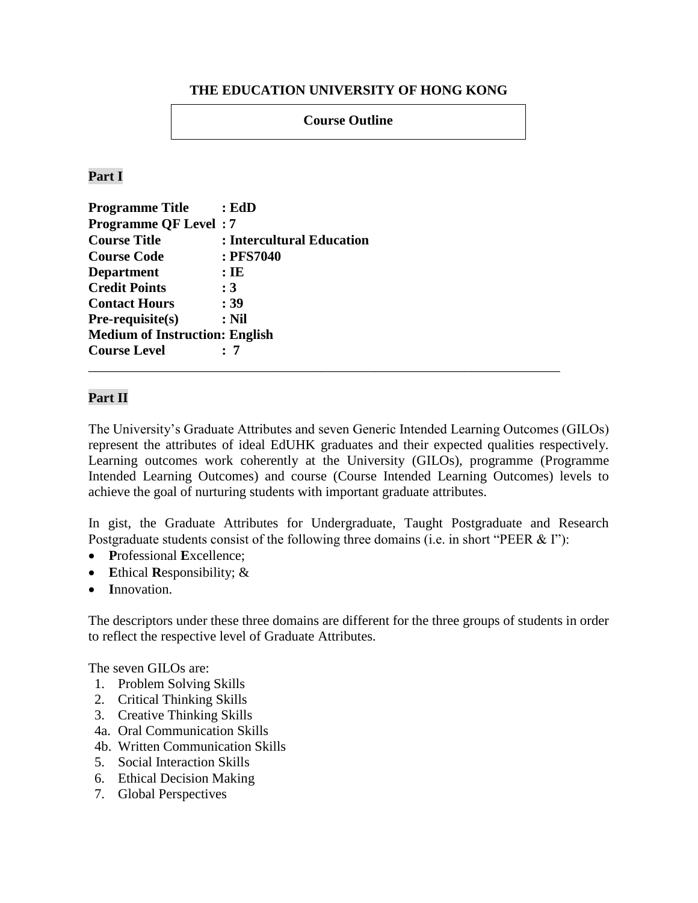#### **THE EDUCATION UNIVERSITY OF HONG KONG**

**Course Outline** 

#### **Part I**

| <b>Programme Title</b>                | : EdD                     |
|---------------------------------------|---------------------------|
| <b>Programme QF Level: 7</b>          |                           |
| <b>Course Title</b>                   | : Intercultural Education |
| <b>Course Code</b>                    | : PFS7040                 |
| <b>Department</b>                     | $:$ IE                    |
| <b>Credit Points</b>                  | $\div 3$                  |
| <b>Contact Hours</b>                  | : 39                      |
| $Pre-requisite(s)$                    | $:$ Nil                   |
| <b>Medium of Instruction: English</b> |                           |
| <b>Course Level</b>                   | : 7                       |
|                                       |                           |

#### **Part II**

The University's Graduate Attributes and seven Generic Intended Learning Outcomes (GILOs) represent the attributes of ideal EdUHK graduates and their expected qualities respectively. Learning outcomes work coherently at the University (GILOs), programme (Programme Intended Learning Outcomes) and course (Course Intended Learning Outcomes) levels to achieve the goal of nurturing students with important graduate attributes.

In gist, the Graduate Attributes for Undergraduate, Taught Postgraduate and Research Postgraduate students consist of the following three domains (i.e. in short "PEER & I"):

- **P**rofessional **E**xcellence;
- **E**thical **R**esponsibility; &
- **I**nnovation.

The descriptors under these three domains are different for the three groups of students in order to reflect the respective level of Graduate Attributes.

The seven GILOs are:

- 1. Problem Solving Skills
- 2. Critical Thinking Skills
- 3. Creative Thinking Skills
- 4a. Oral Communication Skills
- 4b. Written Communication Skills
- 5. Social Interaction Skills
- 6. Ethical Decision Making
- 7. Global Perspectives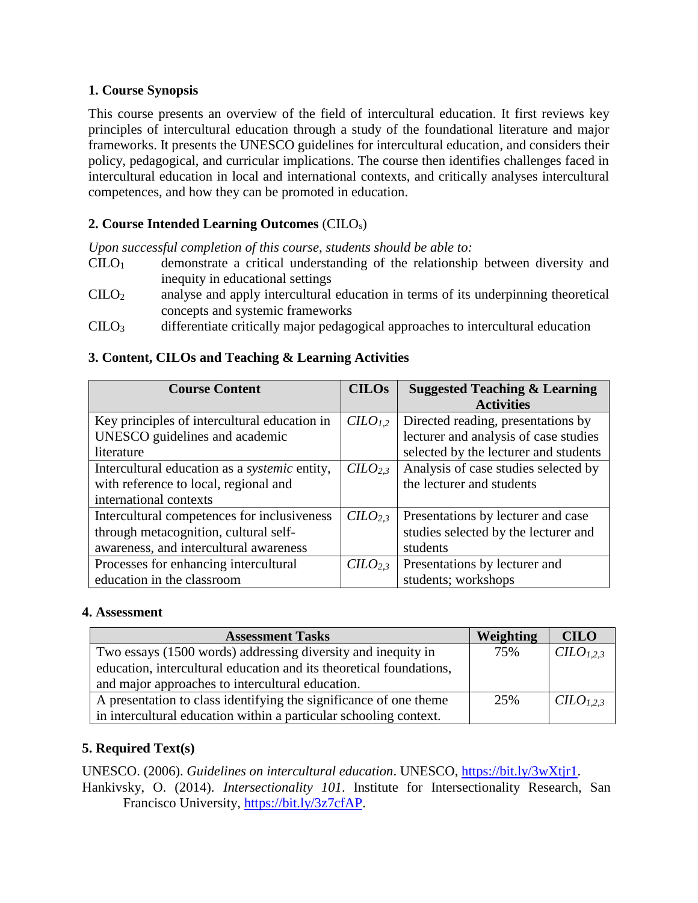### **1. Course Synopsis**

This course presents an overview of the field of intercultural education. It first reviews key principles of intercultural education through a study of the foundational literature and major frameworks. It presents the UNESCO guidelines for intercultural education, and considers their policy, pedagogical, and curricular implications. The course then identifies challenges faced in intercultural education in local and international contexts, and critically analyses intercultural competences, and how they can be promoted in education.

# **2. 2. Course Intended Learning Outcomes** (CILOs)

*Upon successful completion of this course, students should be able to:*

- $C I L O<sub>1</sub>$  demonstrate a critical understanding of the relationship between diversity and inequity in educational settings
- CILO<sup>2</sup> analyse and apply intercultural education in terms of its underpinning theoretical concepts and systemic frameworks
- CILO<sup>3</sup> differentiate critically major pedagogical approaches to intercultural education

### **3. Content, CILOs and Teaching & Learning Activities**

| <b>Course Content</b>                                                                                                          | <b>CILOs</b>        | <b>Suggested Teaching &amp; Learning</b><br><b>Activities</b>                                                        |
|--------------------------------------------------------------------------------------------------------------------------------|---------------------|----------------------------------------------------------------------------------------------------------------------|
| Key principles of intercultural education in<br>UNESCO guidelines and academic<br>literature                                   | $CLO_{1,2}$         | Directed reading, presentations by<br>lecturer and analysis of case studies<br>selected by the lecturer and students |
| Intercultural education as a <i>systemic</i> entity,<br>with reference to local, regional and<br>international contexts        | CILO <sub>2.3</sub> | Analysis of case studies selected by<br>the lecturer and students                                                    |
| Intercultural competences for inclusiveness<br>through metacognition, cultural self-<br>awareness, and intercultural awareness | CILO <sub>2.3</sub> | Presentations by lecturer and case<br>studies selected by the lecturer and<br>students                               |
| Processes for enhancing intercultural<br>education in the classroom                                                            | CILO <sub>2,3</sub> | Presentations by lecturer and<br>students; workshops                                                                 |

#### **4. Assessment**

| <b>Assessment Tasks</b>                                             | Weighting | <b>CILO</b>           |
|---------------------------------------------------------------------|-----------|-----------------------|
| Two essays (1500 words) addressing diversity and inequity in        | 75%       | CILO <sub>1.2.3</sub> |
| education, intercultural education and its theoretical foundations, |           |                       |
| and major approaches to intercultural education.                    |           |                       |
| A presentation to class identifying the significance of one theme   | 25%       | CILO <sub>1.2.3</sub> |
| in intercultural education within a particular schooling context.   |           |                       |

### **5. Required Text(s)**

UNESCO. (2006). *Guidelines on intercultural education*. UNESCO, [https://bit.ly/3wXtjr1.](https://bit.ly/3wXtjr1) Hankivsky, O. (2014). *Intersectionality 101*. Institute for Intersectionality Research, San

Francisco University, [https://bit.ly/3z7cfAP.](https://bit.ly/3z7cfAP)